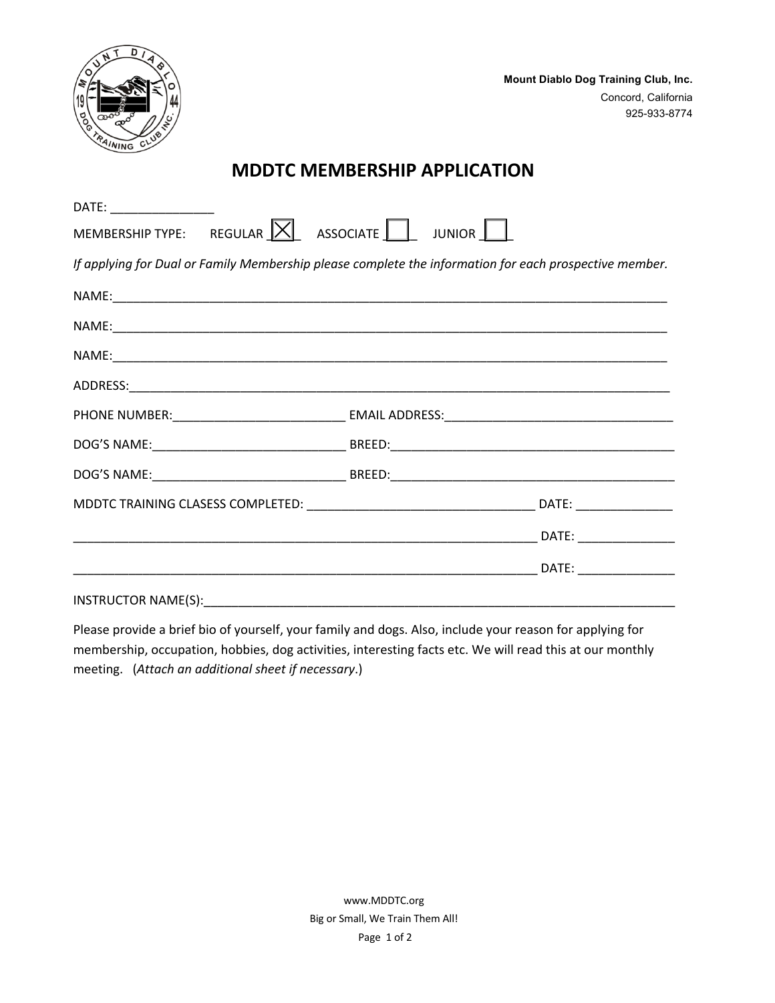

**Mount Diablo Dog Training Club, Inc.** Concord, California 925-933-8774

## **MDDTC MEMBERSHIP APPLICATION**

| DATE: __________________                                                                               |  |
|--------------------------------------------------------------------------------------------------------|--|
| MEMBERSHIP TYPE: REGULAR $ \times $ ASSOCIATE JUNIOR                                                   |  |
| If applying for Dual or Family Membership please complete the information for each prospective member. |  |
|                                                                                                        |  |
|                                                                                                        |  |
|                                                                                                        |  |
|                                                                                                        |  |
|                                                                                                        |  |
|                                                                                                        |  |
|                                                                                                        |  |
|                                                                                                        |  |
|                                                                                                        |  |
|                                                                                                        |  |
|                                                                                                        |  |

INSTRUCTOR NAME(S):

Please provide a brief bio of yourself, your family and dogs. Also, include your reason for applying for membership, occupation, hobbies, dog activities, interesting facts etc. We will read this at our monthly meeting. (*Attach an additional sheet if necessary*.)